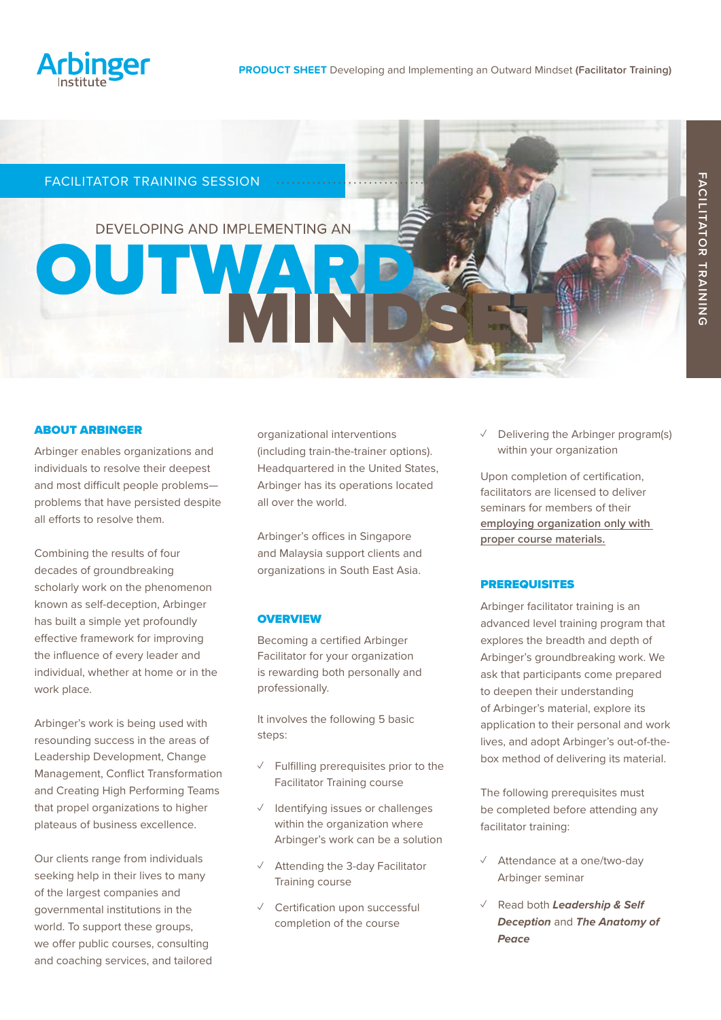

# FACILITATOR TRAINING SESSION

OUT

DEVELOPING AND IMPLEMENTING AN

 $\sim$  . . . . . . . . . . . .

## ABOUT ARBINGER

Arbinger enables organizations and individuals to resolve their deepest and most difficult people problems problems that have persisted despite all efforts to resolve them.

Combining the results of four decades of groundbreaking scholarly work on the phenomenon known as self-deception, Arbinger has built a simple yet profoundly effective framework for improving the influence of every leader and individual, whether at home or in the work place.

Arbinger's work is being used with resounding success in the areas of Leadership Development, Change Management, Conflict Transformation and Creating High Performing Teams that propel organizations to higher plateaus of business excellence.

Our clients range from individuals seeking help in their lives to many of the largest companies and governmental institutions in the world. To support these groups, we offer public courses, consulting and coaching services, and tailored organizational interventions (including train-the-trainer options). Headquartered in the United States, Arbinger has its operations located all over the world.

Arbinger's offices in Singapore and Malaysia support clients and organizations in South East Asia.

#### **OVERVIEW**

Becoming a certified Arbinger Facilitator for your organization is rewarding both personally and professionally.

It involves the following 5 basic steps:

- ✓ Fulfilling prerequisites prior to the Facilitator Training course
- ✓ Identifying issues or challenges within the organization where Arbinger's work can be a solution
- ✓ Attending the 3-day Facilitator Training course
- ✓ Certification upon successful completion of the course

 $\vee$  Delivering the Arbinger program(s) within your organization

Upon completion of certification, facilitators are licensed to deliver seminars for members of their **employing organization only with proper course materials.**

#### PREREQUISITES

Arbinger facilitator training is an advanced level training program that explores the breadth and depth of Arbinger's groundbreaking work. We ask that participants come prepared to deepen their understanding of Arbinger's material, explore its application to their personal and work lives, and adopt Arbinger's out-of-thebox method of delivering its material.

The following prerequisites must be completed before attending any facilitator training:

- ✓ Attendance at a one/two-day Arbinger seminar
- ✓ Read both *Leadership & Self Deception* and *The Anatomy of Peace*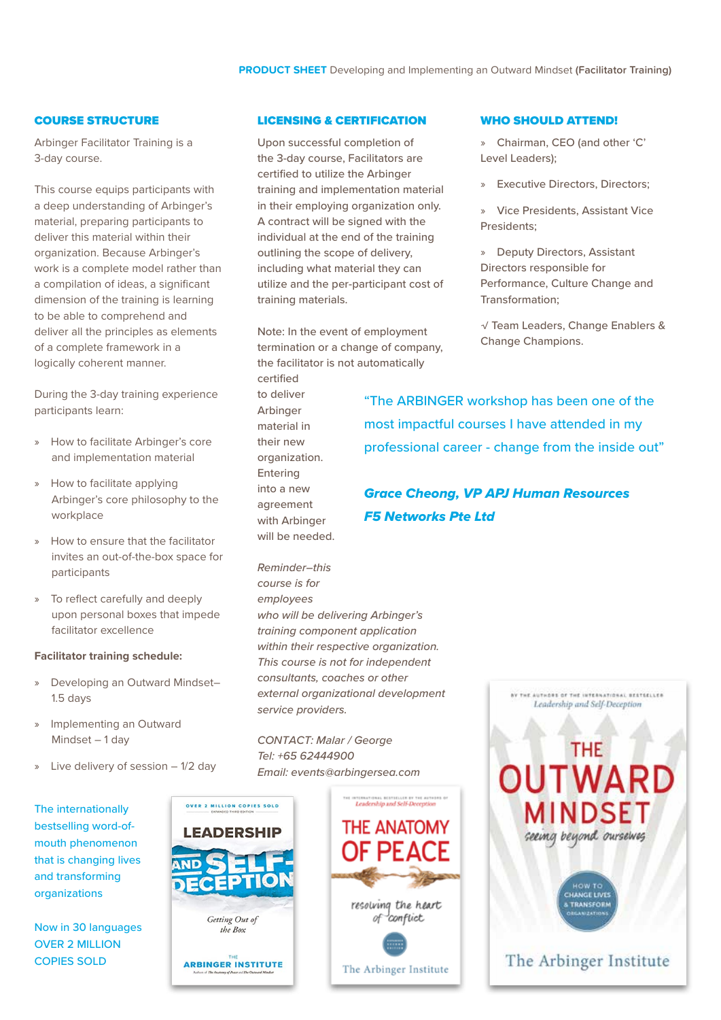## COURSE STRUCTURE

Arbinger Facilitator Training is a 3-day course.

This course equips participants with a deep understanding of Arbinger's material, preparing participants to deliver this material within their organization. Because Arbinger's work is a complete model rather than a compilation of ideas, a significant dimension of the training is learning to be able to comprehend and deliver all the principles as elements of a complete framework in a logically coherent manner.

During the 3-day training experience participants learn:

- » How to facilitate Arbinger's core and implementation material
- » How to facilitate applying Arbinger's core philosophy to the workplace
- » How to ensure that the facilitator invites an out-of-the-box space for participants
- » To reflect carefully and deeply upon personal boxes that impede facilitator excellence

#### **Facilitator training schedule:**

- » Developing an Outward Mindset– 1.5 days
- » Implementing an Outward Mindset – 1 day
- » Live delivery of session 1/2 day

The internationally bestselling word-ofmouth phenomenon that is changing lives and transforming organizations

Now in 30 languages OVER 2 MILLION COPIES SOLD

#### LICENSING & CERTIFICATION

Upon successful completion of the 3-day course, Facilitators are certified to utilize the Arbinger training and implementation material in their employing organization only. A contract will be signed with the individual at the end of the training outlining the scope of delivery, including what material they can utilize and the per-participant cost of training materials.

Note: In the event of employment termination or a change of company, the facilitator is not automatically certified to deliver Arbinger

material in their new organization. Entering into a new agreement with Arbinger will be needed.

*Reminder–this course is for employees who will be delivering Arbinger's training component application within their respective organization. This course is not for independent consultants, coaches or other external organizational development service providers.*

*CONTACT:* Malar */ George Tel: +65* 62444900 *Email: events@arbingersea.com*



the Box

## WHO SHOULD ATTEND!

» Chairman, CEO (and other 'C' Level Leaders);

» Executive Directors, Directors;

» Vice Presidents, Assistant Vice Presidents;

» Deputy Directors, Assistant Directors responsible for Performance, Culture Change and Transformation;

√ Team Leaders, Change Enablers & Change Champions.

"The ARBINGER workshop has been one of the most impactful courses I have attended in my professional career - change from the inside out"

*Grace Cheong, VP APJ Human Resources F5 Networks Pte Ltd*

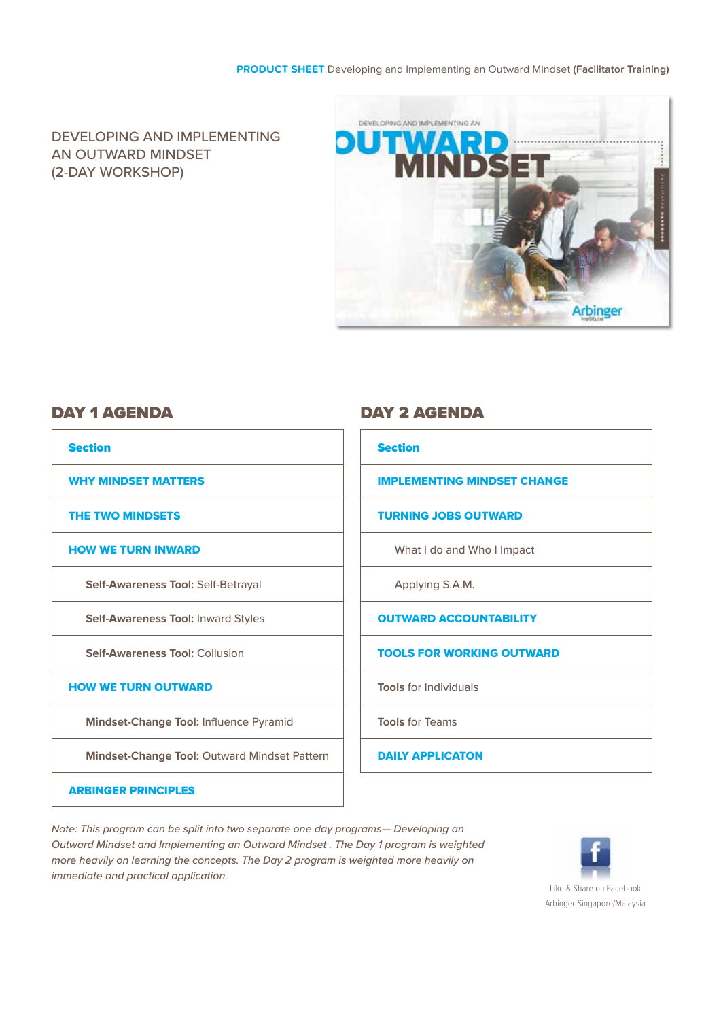## **PRODUCT SHEET** Developing and Implementing an Outward Mindset **(Facilitator Training)**

DEVELOPING AND IMPLEMENTING AN OUTWARD MINDSET (2-DAY WORKSHOP)



| <b>Section</b>                                      | <b>Section</b>                     |
|-----------------------------------------------------|------------------------------------|
| <b>WHY MINDSET MATTERS</b>                          | <b>IMPLEMENTING MINDSET CHANGE</b> |
| <b>THE TWO MINDSETS</b>                             | <b>TURNING JOBS OUTWARD</b>        |
| <b>HOW WE TURN INWARD</b>                           | What I do and Who I Impact         |
| <b>Self-Awareness Tool: Self-Betrayal</b>           | Applying S.A.M.                    |
| <b>Self-Awareness Tool: Inward Styles</b>           | <b>OUTWARD ACCOUNTABILITY</b>      |
| <b>Self-Awareness Tool: Collusion</b>               | <b>TOOLS FOR WORKING OUTWARD</b>   |
| <b>HOW WE TURN OUTWARD</b>                          | <b>Tools for Individuals</b>       |
| <b>Mindset-Change Tool: Influence Pyramid</b>       | <b>Tools for Teams</b>             |
| <b>Mindset-Change Tool: Outward Mindset Pattern</b> | <b>DAILY APPLICATON</b>            |
| <b>ARBINGER PRINCIPLES</b>                          |                                    |

# DAY 1 AGENDA DAY 2 AGENDA

| <b>Section</b>                     |  |
|------------------------------------|--|
| <b>IMPLEMENTING MINDSET CHANGE</b> |  |
| <b>TURNING JOBS OUTWARD</b>        |  |
| What I do and Who I Impact         |  |
| Applying S.A.M.                    |  |
| <b>OUTWARD ACCOUNTABILITY</b>      |  |
| <b>TOOLS FOR WORKING OUTWARD</b>   |  |
| <b>Tools for Individuals</b>       |  |
| <b>Tools for Teams</b>             |  |
| <b>DAILY APPLICATON</b>            |  |

*Note: This program can be split into two separate one day programs— Developing an Outward Mindset and Implementing an Outward Mindset . The Day 1 program is weighted more heavily on learning the concepts. The Day 2 program is weighted more heavily on immediate and practical application.*